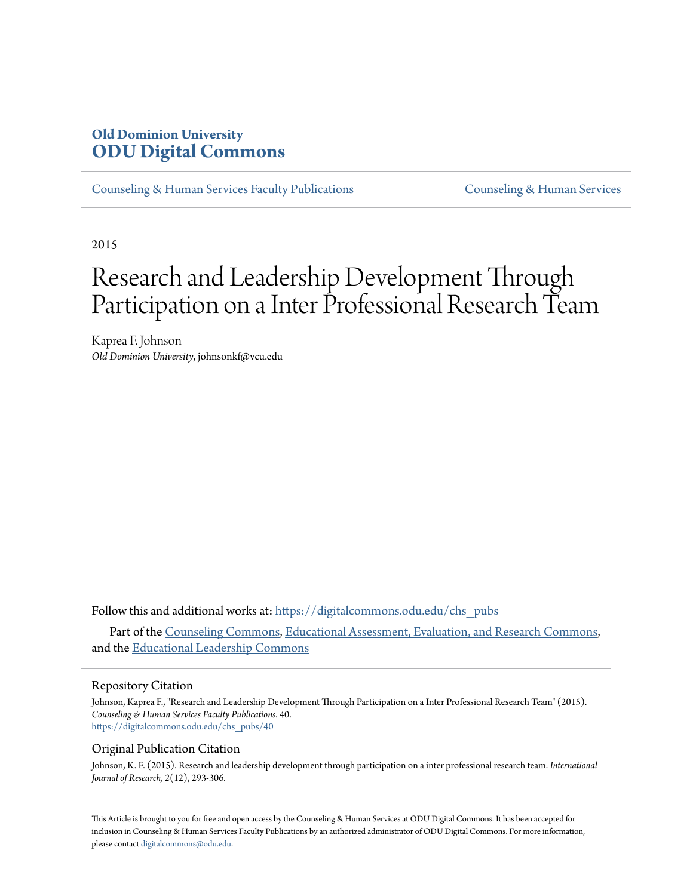# **Old Dominion University [ODU Digital Commons](https://digitalcommons.odu.edu?utm_source=digitalcommons.odu.edu%2Fchs_pubs%2F40&utm_medium=PDF&utm_campaign=PDFCoverPages)**

[Counseling & Human Services Faculty Publications](https://digitalcommons.odu.edu/chs_pubs?utm_source=digitalcommons.odu.edu%2Fchs_pubs%2F40&utm_medium=PDF&utm_campaign=PDFCoverPages) [Counseling & Human Services](https://digitalcommons.odu.edu/chs?utm_source=digitalcommons.odu.edu%2Fchs_pubs%2F40&utm_medium=PDF&utm_campaign=PDFCoverPages)

2015

# Research and Leadership Development Through Participation on a Inter Professional Research Team

Kaprea F. Johnson *Old Dominion University*, johnsonkf@vcu.edu

Follow this and additional works at: [https://digitalcommons.odu.edu/chs\\_pubs](https://digitalcommons.odu.edu/chs_pubs?utm_source=digitalcommons.odu.edu%2Fchs_pubs%2F40&utm_medium=PDF&utm_campaign=PDFCoverPages)

Part of the [Counseling Commons](http://network.bepress.com/hgg/discipline/1268?utm_source=digitalcommons.odu.edu%2Fchs_pubs%2F40&utm_medium=PDF&utm_campaign=PDFCoverPages), [Educational Assessment, Evaluation, and Research Commons](http://network.bepress.com/hgg/discipline/796?utm_source=digitalcommons.odu.edu%2Fchs_pubs%2F40&utm_medium=PDF&utm_campaign=PDFCoverPages), and the [Educational Leadership Commons](http://network.bepress.com/hgg/discipline/1230?utm_source=digitalcommons.odu.edu%2Fchs_pubs%2F40&utm_medium=PDF&utm_campaign=PDFCoverPages)

#### Repository Citation

Johnson, Kaprea F., "Research and Leadership Development Through Participation on a Inter Professional Research Team" (2015). *Counseling & Human Services Faculty Publications*. 40. [https://digitalcommons.odu.edu/chs\\_pubs/40](https://digitalcommons.odu.edu/chs_pubs/40?utm_source=digitalcommons.odu.edu%2Fchs_pubs%2F40&utm_medium=PDF&utm_campaign=PDFCoverPages)

#### Original Publication Citation

Johnson, K. F. (2015). Research and leadership development through participation on a inter professional research team. *International Journal of Research, 2*(12), 293-306.

This Article is brought to you for free and open access by the Counseling & Human Services at ODU Digital Commons. It has been accepted for inclusion in Counseling & Human Services Faculty Publications by an authorized administrator of ODU Digital Commons. For more information, please contact [digitalcommons@odu.edu](mailto:digitalcommons@odu.edu).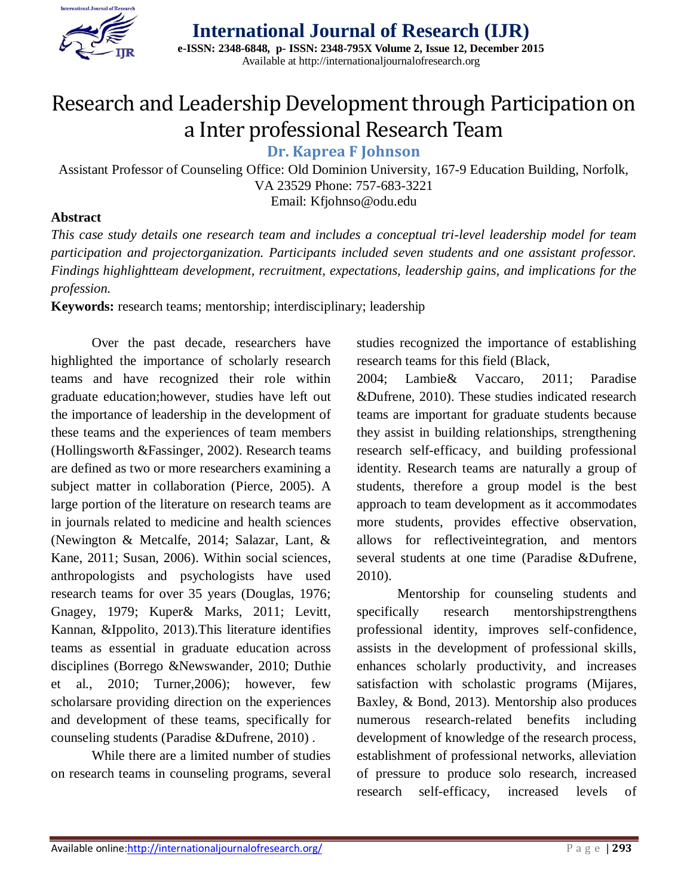

# Research and Leadership Development through Participation on a Inter professional Research Team

**Dr. Kaprea F Johnson** 

Assistant Professor of Counseling Office: Old Dominion University, 167-9 Education Building, Norfolk, VA 23529 Phone: 757-683-3221 Email: Kfjohnso@odu.edu

#### **Abstract**

*This case study details one research team and includes a conceptual tri-level leadership model for team participation and projectorganization. Participants included seven students and one assistant professor. Findings highlightteam development, recruitment, expectations, leadership gains, and implications for the profession.* 

**Keywords:** research teams; mentorship; interdisciplinary; leadership

Over the past decade, researchers have highlighted the importance of scholarly research teams and have recognized their role within graduate education;however, studies have left out the importance of leadership in the development of these teams and the experiences of team members (Hollingsworth &Fassinger, 2002). Research teams are defined as two or more researchers examining a subject matter in collaboration (Pierce, 2005). A large portion of the literature on research teams are in journals related to medicine and health sciences (Newington & Metcalfe, 2014; Salazar, Lant, & Kane, 2011; Susan, 2006). Within social sciences, anthropologists and psychologists have used research teams for over 35 years (Douglas, 1976; Gnagey, 1979; Kuper& Marks, 2011; Levitt, Kannan, &Ippolito, 2013).This literature identifies teams as essential in graduate education across disciplines (Borrego &Newswander, 2010; Duthie et al., 2010; Turner,2006); however, few scholarsare providing direction on the experiences and development of these teams, specifically for counseling students (Paradise &Dufrene, 2010) .

While there are a limited number of studies on research teams in counseling programs, several studies recognized the importance of establishing research teams for this field (Black,

2004; Lambie& Vaccaro, 2011; Paradise &Dufrene, 2010). These studies indicated research teams are important for graduate students because they assist in building relationships, strengthening research self-efficacy, and building professional identity. Research teams are naturally a group of students, therefore a group model is the best approach to team development as it accommodates more students, provides effective observation, allows for reflectiveintegration, and mentors several students at one time (Paradise &Dufrene, 2010).

Mentorship for counseling students and specifically research mentorshipstrengthens professional identity, improves self-confidence, assists in the development of professional skills, enhances scholarly productivity, and increases satisfaction with scholastic programs (Mijares, Baxley, & Bond, 2013). Mentorship also produces numerous research-related benefits including development of knowledge of the research process, establishment of professional networks, alleviation of pressure to produce solo research, increased research self-efficacy, increased levels of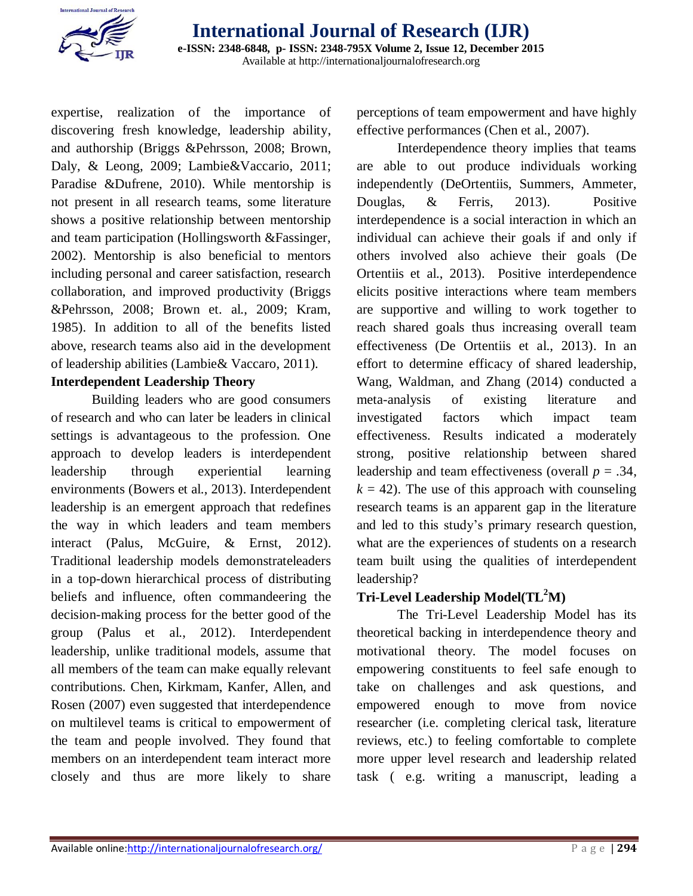

expertise, realization of the importance of discovering fresh knowledge, leadership ability, and authorship (Briggs &Pehrsson, 2008; Brown, Daly, & Leong, 2009; Lambie&Vaccario, 2011; Paradise &Dufrene, 2010). While mentorship is not present in all research teams, some literature shows a positive relationship between mentorship and team participation (Hollingsworth &Fassinger, 2002). Mentorship is also beneficial to mentors including personal and career satisfaction, research collaboration, and improved productivity (Briggs &Pehrsson, 2008; Brown et. al., 2009; Kram, 1985). In addition to all of the benefits listed above, research teams also aid in the development of leadership abilities (Lambie& Vaccaro, 2011).

### **Interdependent Leadership Theory**

Building leaders who are good consumers of research and who can later be leaders in clinical settings is advantageous to the profession. One approach to develop leaders is interdependent leadership through experiential learning environments (Bowers et al., 2013). Interdependent leadership is an emergent approach that redefines the way in which leaders and team members interact (Palus, McGuire, & Ernst, 2012). Traditional leadership models demonstrateleaders in a top-down hierarchical process of distributing beliefs and influence, often commandeering the decision-making process for the better good of the group (Palus et al., 2012). Interdependent leadership, unlike traditional models, assume that all members of the team can make equally relevant contributions. Chen, Kirkmam, Kanfer, Allen, and Rosen (2007) even suggested that interdependence on multilevel teams is critical to empowerment of the team and people involved. They found that members on an interdependent team interact more closely and thus are more likely to share

perceptions of team empowerment and have highly effective performances (Chen et al., 2007).

Interdependence theory implies that teams are able to out produce individuals working independently (DeOrtentiis, Summers, Ammeter, Douglas, & Ferris, 2013). Positive interdependence is a social interaction in which an individual can achieve their goals if and only if others involved also achieve their goals (De Ortentiis et al., 2013). Positive interdependence elicits positive interactions where team members are supportive and willing to work together to reach shared goals thus increasing overall team effectiveness (De Ortentiis et al., 2013). In an effort to determine efficacy of shared leadership, Wang, Waldman, and Zhang (2014) conducted a meta-analysis of existing literature and investigated factors which impact team effectiveness. Results indicated a moderately strong, positive relationship between shared leadership and team effectiveness (overall *p* = .34,  $k = 42$ ). The use of this approach with counseling research teams is an apparent gap in the literature and led to this study's primary research question, what are the experiences of students on a research team built using the qualities of interdependent leadership?

# **Tri-Level Leadership Model(TL<sup>2</sup>M)**

The Tri-Level Leadership Model has its theoretical backing in interdependence theory and motivational theory. The model focuses on empowering constituents to feel safe enough to take on challenges and ask questions, and empowered enough to move from novice researcher (i.e. completing clerical task, literature reviews, etc.) to feeling comfortable to complete more upper level research and leadership related task ( e.g. writing a manuscript, leading a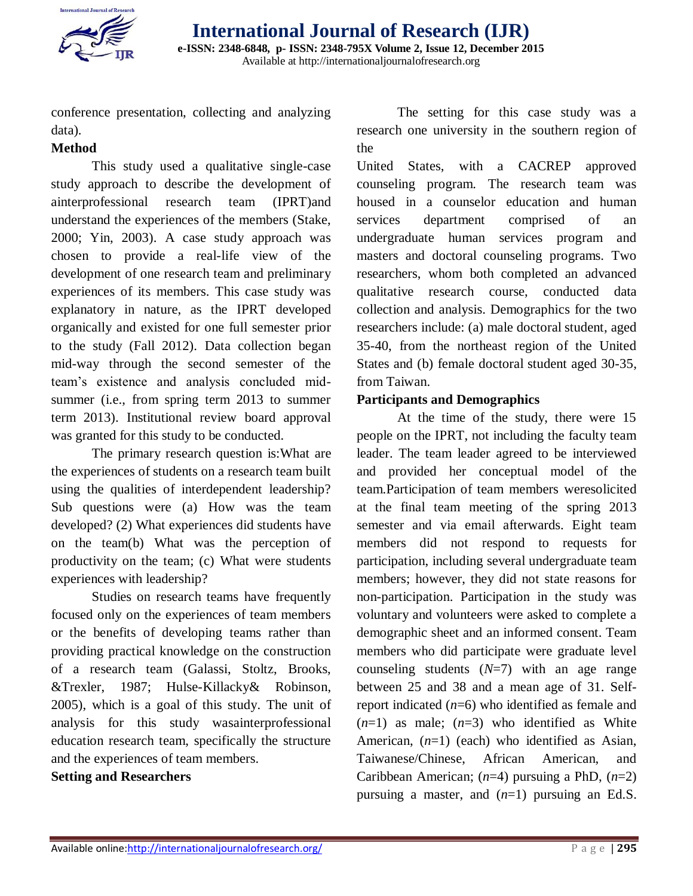

conference presentation, collecting and analyzing data).

# **Method**

This study used a qualitative single-case study approach to describe the development of ainterprofessional research team (IPRT)and understand the experiences of the members (Stake, 2000; Yin, 2003). A case study approach was chosen to provide a real-life view of the development of one research team and preliminary experiences of its members. This case study was explanatory in nature, as the IPRT developed organically and existed for one full semester prior to the study (Fall 2012). Data collection began mid-way through the second semester of the team's existence and analysis concluded midsummer (i.e., from spring term 2013 to summer term 2013). Institutional review board approval was granted for this study to be conducted.

The primary research question is:What are the experiences of students on a research team built using the qualities of interdependent leadership? Sub questions were (a) How was the team developed? (2) What experiences did students have on the team(b) What was the perception of productivity on the team; (c) What were students experiences with leadership?

Studies on research teams have frequently focused only on the experiences of team members or the benefits of developing teams rather than providing practical knowledge on the construction of a research team (Galassi, Stoltz, Brooks, &Trexler, 1987; Hulse-Killacky& Robinson, 2005), which is a goal of this study. The unit of analysis for this study wasainterprofessional education research team, specifically the structure and the experiences of team members.

### **Setting and Researchers**

The setting for this case study was a research one university in the southern region of the

United States, with a CACREP approved counseling program. The research team was housed in a counselor education and human services department comprised of an undergraduate human services program and masters and doctoral counseling programs. Two researchers, whom both completed an advanced qualitative research course, conducted data collection and analysis. Demographics for the two researchers include: (a) male doctoral student, aged 35-40, from the northeast region of the United States and (b) female doctoral student aged 30-35, from Taiwan.

## **Participants and Demographics**

At the time of the study, there were 15 people on the IPRT, not including the faculty team leader. The team leader agreed to be interviewed and provided her conceptual model of the team.Participation of team members weresolicited at the final team meeting of the spring 2013 semester and via email afterwards. Eight team members did not respond to requests for participation, including several undergraduate team members; however, they did not state reasons for non-participation. Participation in the study was voluntary and volunteers were asked to complete a demographic sheet and an informed consent. Team members who did participate were graduate level counseling students (*N*=7) with an age range between 25 and 38 and a mean age of 31. Selfreport indicated (*n*=6) who identified as female and  $(n=1)$  as male;  $(n=3)$  who identified as White American, (*n*=1) (each) who identified as Asian, Taiwanese/Chinese, African American, and Caribbean American; (*n*=4) pursuing a PhD, (*n*=2) pursuing a master, and (*n*=1) pursuing an Ed.S.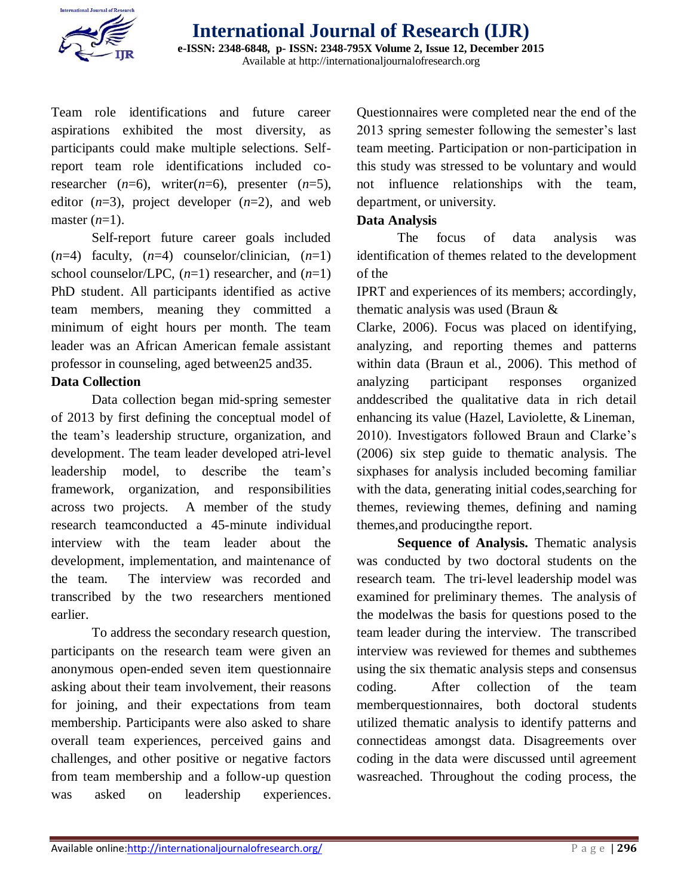

Team role identifications and future career aspirations exhibited the most diversity, as participants could make multiple selections. Selfreport team role identifications included coresearcher  $(n=6)$ , writer $(n=6)$ , presenter  $(n=5)$ , editor  $(n=3)$ , project developer  $(n=2)$ , and web master (*n*=1).

 Self-report future career goals included  $(n=4)$  faculty,  $(n=4)$  counselor/clinician,  $(n=1)$ school counselor/LPC, (*n*=1) researcher, and (*n*=1) PhD student. All participants identified as active team members, meaning they committed a minimum of eight hours per month. The team leader was an African American female assistant professor in counseling, aged between25 and35.

### **Data Collection**

Data collection began mid-spring semester of 2013 by first defining the conceptual model of the team's leadership structure, organization, and development. The team leader developed atri-level leadership model, to describe the team's framework, organization, and responsibilities across two projects. A member of the study research teamconducted a 45-minute individual interview with the team leader about the development, implementation, and maintenance of the team. The interview was recorded and transcribed by the two researchers mentioned earlier.

To address the secondary research question, participants on the research team were given an anonymous open-ended seven item questionnaire asking about their team involvement, their reasons for joining, and their expectations from team membership. Participants were also asked to share overall team experiences, perceived gains and challenges, and other positive or negative factors from team membership and a follow-up question was asked on leadership experiences. Questionnaires were completed near the end of the 2013 spring semester following the semester's last team meeting. Participation or non-participation in this study was stressed to be voluntary and would not influence relationships with the team, department, or university.

#### **Data Analysis**

The focus of data analysis was identification of themes related to the development of the

IPRT and experiences of its members; accordingly, thematic analysis was used (Braun &

Clarke, 2006). Focus was placed on identifying, analyzing, and reporting themes and patterns within data (Braun et al., 2006). This method of analyzing participant responses organized anddescribed the qualitative data in rich detail enhancing its value (Hazel, Laviolette, & Lineman, 2010). Investigators followed Braun and Clarke's (2006) six step guide to thematic analysis. The sixphases for analysis included becoming familiar with the data, generating initial codes, searching for themes, reviewing themes, defining and naming themes,and producingthe report.

**Sequence of Analysis.** Thematic analysis was conducted by two doctoral students on the research team. The tri-level leadership model was examined for preliminary themes. The analysis of the modelwas the basis for questions posed to the team leader during the interview. The transcribed interview was reviewed for themes and subthemes using the six thematic analysis steps and consensus coding. After collection of the team memberquestionnaires, both doctoral students utilized thematic analysis to identify patterns and connectideas amongst data. Disagreements over coding in the data were discussed until agreement wasreached. Throughout the coding process, the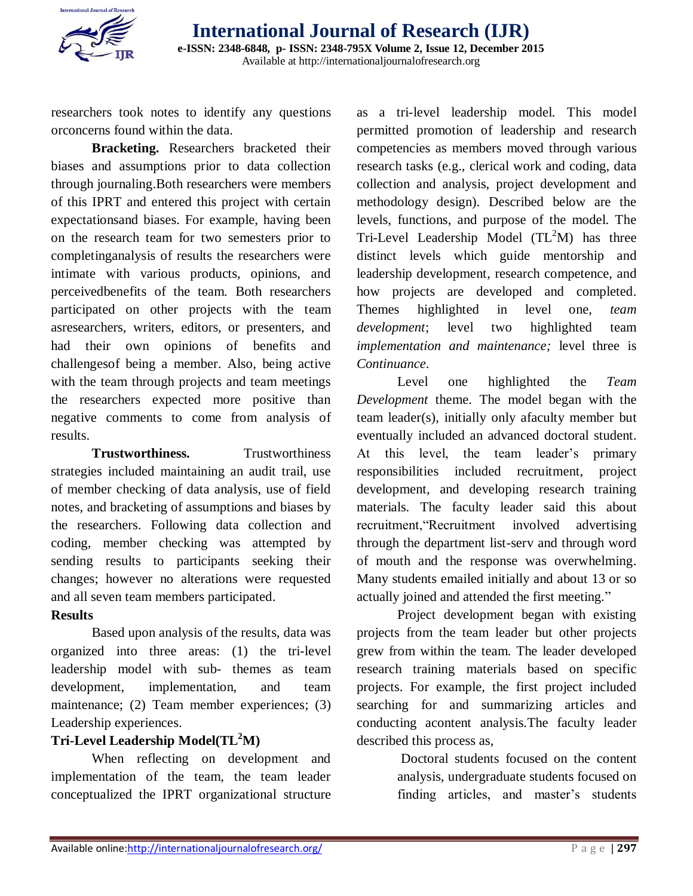

researchers took notes to identify any questions orconcerns found within the data.

**Bracketing.** Researchers bracketed their biases and assumptions prior to data collection through journaling.Both researchers were members of this IPRT and entered this project with certain expectationsand biases. For example, having been on the research team for two semesters prior to completinganalysis of results the researchers were intimate with various products, opinions, and perceivedbenefits of the team. Both researchers participated on other projects with the team asresearchers, writers, editors, or presenters, and had their own opinions of benefits and challengesof being a member. Also, being active with the team through projects and team meetings the researchers expected more positive than negative comments to come from analysis of results.

**Trustworthiness.** Trustworthiness strategies included maintaining an audit trail, use of member checking of data analysis, use of field notes, and bracketing of assumptions and biases by the researchers. Following data collection and coding, member checking was attempted by sending results to participants seeking their changes; however no alterations were requested and all seven team members participated.

### **Results**

Based upon analysis of the results, data was organized into three areas: (1) the tri-level leadership model with sub- themes as team development, implementation, and team maintenance; (2) Team member experiences; (3) Leadership experiences.

# **Tri-Level Leadership Model(TL<sup>2</sup>M)**

When reflecting on development and implementation of the team, the team leader conceptualized the IPRT organizational structure as a tri-level leadership model. This model permitted promotion of leadership and research competencies as members moved through various research tasks (e.g., clerical work and coding, data collection and analysis, project development and methodology design). Described below are the levels, functions, and purpose of the model. The Tri-Level Leadership Model  $(TL<sup>2</sup>M)$  has three distinct levels which guide mentorship and leadership development, research competence, and how projects are developed and completed. Themes highlighted in level one, *team development*; level two highlighted team *implementation and maintenance;* level three is *Continuance*.

Level one highlighted the *Team Development* theme. The model began with the team leader(s), initially only afaculty member but eventually included an advanced doctoral student. At this level, the team leader's primary responsibilities included recruitment, project development, and developing research training materials. The faculty leader said this about recruitment,"Recruitment involved advertising through the department list-serv and through word of mouth and the response was overwhelming. Many students emailed initially and about 13 or so actually joined and attended the first meeting."

Project development began with existing projects from the team leader but other projects grew from within the team. The leader developed research training materials based on specific projects. For example, the first project included searching for and summarizing articles and conducting acontent analysis.The faculty leader described this process as,

> Doctoral students focused on the content analysis, undergraduate students focused on finding articles, and master's students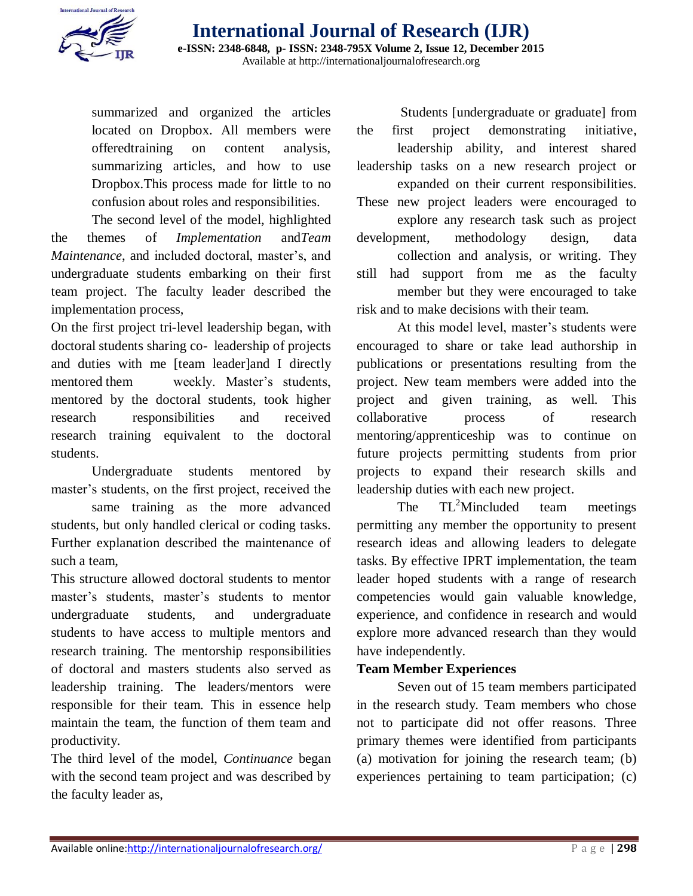

summarized and organized the articles located on Dropbox. All members were offeredtraining on content analysis, summarizing articles, and how to use Dropbox.This process made for little to no confusion about roles and responsibilities.

The second level of the model, highlighted the themes of *Implementation* and*Team Maintenance*, and included doctoral, master's, and undergraduate students embarking on their first team project. The faculty leader described the implementation process,

On the first project tri-level leadership began, with doctoral students sharing co- leadership of projects and duties with me [team leader]and I directly mentored them weekly. Master's students, mentored by the doctoral students, took higher research responsibilities and received research training equivalent to the doctoral students.

 Undergraduate students mentored by master's students, on the first project, received the

 same training as the more advanced students, but only handled clerical or coding tasks. Further explanation described the maintenance of such a team,

This structure allowed doctoral students to mentor master's students, master's students to mentor undergraduate students, and undergraduate students to have access to multiple mentors and research training. The mentorship responsibilities of doctoral and masters students also served as leadership training. The leaders/mentors were responsible for their team. This in essence help maintain the team, the function of them team and productivity.

The third level of the model, *Continuance* began with the second team project and was described by the faculty leader as,

 Students [undergraduate or graduate] from the first project demonstrating initiative, leadership ability, and interest shared leadership tasks on a new research project or expanded on their current responsibilities. These new project leaders were encouraged to explore any research task such as project development, methodology design, data collection and analysis, or writing. They still had support from me as the faculty member but they were encouraged to take risk and to make decisions with their team.

At this model level, master's students were encouraged to share or take lead authorship in publications or presentations resulting from the project. New team members were added into the project and given training, as well. This collaborative process of research mentoring/apprenticeship was to continue on future projects permitting students from prior projects to expand their research skills and leadership duties with each new project.

The  $TL^2$ Mincluded team meetings permitting any member the opportunity to present research ideas and allowing leaders to delegate tasks. By effective IPRT implementation, the team leader hoped students with a range of research competencies would gain valuable knowledge, experience, and confidence in research and would explore more advanced research than they would have independently.

# **Team Member Experiences**

Seven out of 15 team members participated in the research study. Team members who chose not to participate did not offer reasons. Three primary themes were identified from participants (a) motivation for joining the research team; (b) experiences pertaining to team participation; (c)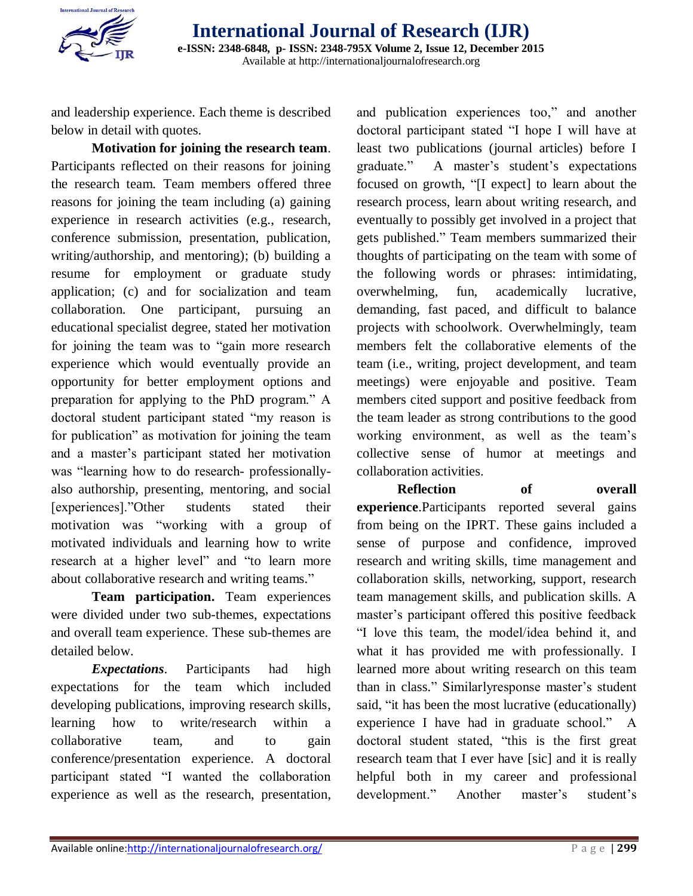

and leadership experience. Each theme is described below in detail with quotes.

**Motivation for joining the research team**. Participants reflected on their reasons for joining the research team. Team members offered three reasons for joining the team including (a) gaining experience in research activities (e.g., research, conference submission, presentation, publication, writing/authorship, and mentoring); (b) building a resume for employment or graduate study application; (c) and for socialization and team collaboration. One participant, pursuing an educational specialist degree, stated her motivation for joining the team was to "gain more research experience which would eventually provide an opportunity for better employment options and preparation for applying to the PhD program." A doctoral student participant stated "my reason is for publication" as motivation for joining the team and a master's participant stated her motivation was "learning how to do research- professionallyalso authorship, presenting, mentoring, and social [experiences]."Other students stated their motivation was "working with a group of motivated individuals and learning how to write research at a higher level" and "to learn more about collaborative research and writing teams."

**Team participation.** Team experiences were divided under two sub-themes, expectations and overall team experience. These sub-themes are detailed below.

*Expectations*. Participants had high expectations for the team which included developing publications, improving research skills, learning how to write/research within a collaborative team, and to gain conference/presentation experience. A doctoral participant stated "I wanted the collaboration experience as well as the research, presentation,

and publication experiences too," and another doctoral participant stated "I hope I will have at least two publications (journal articles) before I graduate." A master's student's expectations focused on growth, "[I expect] to learn about the research process, learn about writing research, and eventually to possibly get involved in a project that gets published." Team members summarized their thoughts of participating on the team with some of the following words or phrases: intimidating, overwhelming, fun, academically lucrative, demanding, fast paced, and difficult to balance projects with schoolwork. Overwhelmingly, team members felt the collaborative elements of the team (i.e., writing, project development, and team meetings) were enjoyable and positive. Team members cited support and positive feedback from the team leader as strong contributions to the good working environment, as well as the team's collective sense of humor at meetings and collaboration activities.

**Reflection of overall experience**.Participants reported several gains from being on the IPRT. These gains included a sense of purpose and confidence, improved research and writing skills, time management and collaboration skills, networking, support, research team management skills, and publication skills. A master's participant offered this positive feedback "I love this team, the model/idea behind it, and what it has provided me with professionally. I learned more about writing research on this team than in class." Similarlyresponse master's student said, "it has been the most lucrative (educationally) experience I have had in graduate school." A doctoral student stated, "this is the first great research team that I ever have [sic] and it is really helpful both in my career and professional development." Another master's student's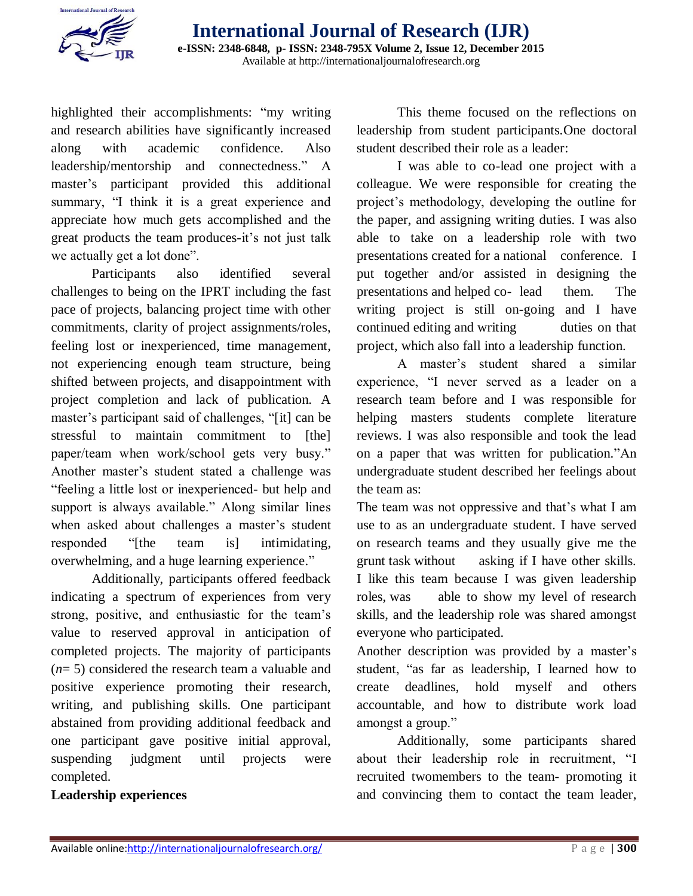

highlighted their accomplishments: "my writing and research abilities have significantly increased along with academic confidence. Also leadership/mentorship and connectedness." A master's participant provided this additional summary, "I think it is a great experience and appreciate how much gets accomplished and the great products the team produces-it's not just talk we actually get a lot done".

Participants also identified several challenges to being on the IPRT including the fast pace of projects, balancing project time with other commitments, clarity of project assignments/roles, feeling lost or inexperienced, time management, not experiencing enough team structure, being shifted between projects, and disappointment with project completion and lack of publication. A master's participant said of challenges, "[it] can be stressful to maintain commitment to [the] paper/team when work/school gets very busy." Another master's student stated a challenge was "feeling a little lost or inexperienced- but help and support is always available." Along similar lines when asked about challenges a master's student responded "[the team is] intimidating, overwhelming, and a huge learning experience."

Additionally, participants offered feedback indicating a spectrum of experiences from very strong, positive, and enthusiastic for the team's value to reserved approval in anticipation of completed projects. The majority of participants (*n*= 5) considered the research team a valuable and positive experience promoting their research, writing, and publishing skills. One participant abstained from providing additional feedback and one participant gave positive initial approval, suspending judgment until projects were completed.

### **Leadership experiences**

This theme focused on the reflections on leadership from student participants.One doctoral student described their role as a leader:

 I was able to co-lead one project with a colleague. We were responsible for creating the project's methodology, developing the outline for the paper, and assigning writing duties. I was also able to take on a leadership role with two presentations created for a national conference. I put together and/or assisted in designing the presentations and helped co- lead them. The writing project is still on-going and I have continued editing and writing duties on that project, which also fall into a leadership function.

A master's student shared a similar experience, "I never served as a leader on a research team before and I was responsible for helping masters students complete literature reviews. I was also responsible and took the lead on a paper that was written for publication."An undergraduate student described her feelings about the team as:

The team was not oppressive and that's what I am use to as an undergraduate student. I have served on research teams and they usually give me the grunt task without asking if I have other skills. I like this team because I was given leadership roles, was able to show my level of research skills, and the leadership role was shared amongst everyone who participated.

Another description was provided by a master's student, "as far as leadership, I learned how to create deadlines, hold myself and others accountable, and how to distribute work load amongst a group."

 Additionally, some participants shared about their leadership role in recruitment, "I recruited twomembers to the team- promoting it and convincing them to contact the team leader,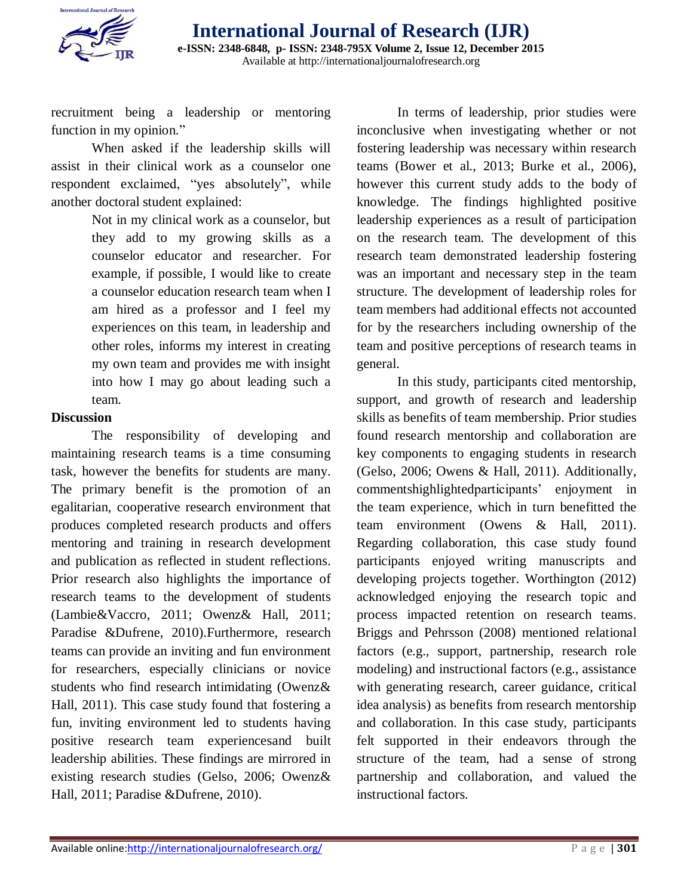

recruitment being a leadership or mentoring function in my opinion."

 When asked if the leadership skills will assist in their clinical work as a counselor one respondent exclaimed, "yes absolutely", while another doctoral student explained:

> Not in my clinical work as a counselor, but they add to my growing skills as a counselor educator and researcher. For example, if possible, I would like to create a counselor education research team when I am hired as a professor and I feel my experiences on this team, in leadership and other roles, informs my interest in creating my own team and provides me with insight into how I may go about leading such a team.

#### **Discussion**

The responsibility of developing and maintaining research teams is a time consuming task, however the benefits for students are many. The primary benefit is the promotion of an egalitarian, cooperative research environment that produces completed research products and offers mentoring and training in research development and publication as reflected in student reflections. Prior research also highlights the importance of research teams to the development of students (Lambie&Vaccro, 2011; Owenz& Hall, 2011; Paradise &Dufrene, 2010).Furthermore, research teams can provide an inviting and fun environment for researchers, especially clinicians or novice students who find research intimidating (Owenz& Hall, 2011). This case study found that fostering a fun, inviting environment led to students having positive research team experiencesand built leadership abilities. These findings are mirrored in existing research studies (Gelso, 2006; Owenz& Hall, 2011; Paradise &Dufrene, 2010).

In terms of leadership, prior studies were inconclusive when investigating whether or not fostering leadership was necessary within research teams (Bower et al., 2013; Burke et al., 2006), however this current study adds to the body of knowledge. The findings highlighted positive leadership experiences as a result of participation on the research team. The development of this research team demonstrated leadership fostering was an important and necessary step in the team structure. The development of leadership roles for team members had additional effects not accounted for by the researchers including ownership of the team and positive perceptions of research teams in general.

In this study, participants cited mentorship, support, and growth of research and leadership skills as benefits of team membership. Prior studies found research mentorship and collaboration are key components to engaging students in research (Gelso, 2006; Owens & Hall, 2011). Additionally, commentshighlightedparticipants' enjoyment in the team experience, which in turn benefitted the team environment (Owens & Hall, 2011). Regarding collaboration, this case study found participants enjoyed writing manuscripts and developing projects together. Worthington (2012) acknowledged enjoying the research topic and process impacted retention on research teams. Briggs and Pehrsson (2008) mentioned relational factors (e.g., support, partnership, research role modeling) and instructional factors (e.g., assistance with generating research, career guidance, critical idea analysis) as benefits from research mentorship and collaboration. In this case study, participants felt supported in their endeavors through the structure of the team, had a sense of strong partnership and collaboration, and valued the instructional factors.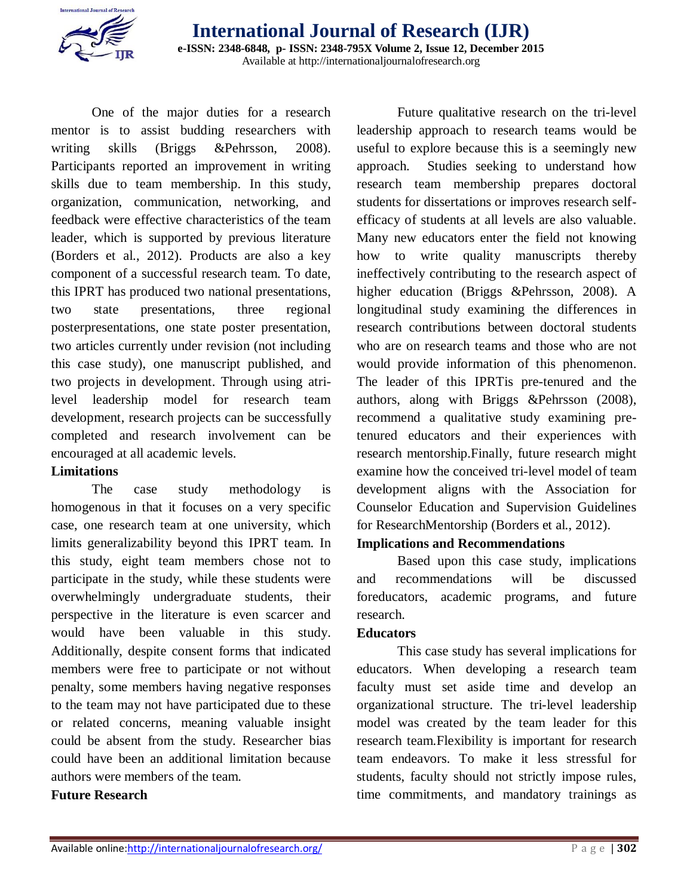

One of the major duties for a research mentor is to assist budding researchers with writing skills (Briggs &Pehrsson, 2008). Participants reported an improvement in writing skills due to team membership. In this study, organization, communication, networking, and feedback were effective characteristics of the team leader, which is supported by previous literature (Borders et al., 2012). Products are also a key component of a successful research team. To date, this IPRT has produced two national presentations, two state presentations, three regional posterpresentations, one state poster presentation, two articles currently under revision (not including this case study), one manuscript published, and two projects in development. Through using atrilevel leadership model for research team development, research projects can be successfully completed and research involvement can be encouraged at all academic levels.

### **Limitations**

The case study methodology is homogenous in that it focuses on a very specific case, one research team at one university, which limits generalizability beyond this IPRT team. In this study, eight team members chose not to participate in the study, while these students were overwhelmingly undergraduate students, their perspective in the literature is even scarcer and would have been valuable in this study. Additionally, despite consent forms that indicated members were free to participate or not without penalty, some members having negative responses to the team may not have participated due to these or related concerns, meaning valuable insight could be absent from the study. Researcher bias could have been an additional limitation because authors were members of the team.

#### **Future Research**

Future qualitative research on the tri-level leadership approach to research teams would be useful to explore because this is a seemingly new approach. Studies seeking to understand how research team membership prepares doctoral students for dissertations or improves research selfefficacy of students at all levels are also valuable. Many new educators enter the field not knowing how to write quality manuscripts thereby ineffectively contributing to the research aspect of higher education (Briggs &Pehrsson, 2008). A longitudinal study examining the differences in research contributions between doctoral students who are on research teams and those who are not would provide information of this phenomenon. The leader of this IPRTis pre-tenured and the authors, along with Briggs &Pehrsson (2008), recommend a qualitative study examining pretenured educators and their experiences with research mentorship.Finally, future research might examine how the conceived tri-level model of team development aligns with the Association for Counselor Education and Supervision Guidelines for ResearchMentorship (Borders et al., 2012).

#### **Implications and Recommendations**

Based upon this case study, implications and recommendations will be discussed foreducators, academic programs, and future research.

### **Educators**

This case study has several implications for educators. When developing a research team faculty must set aside time and develop an organizational structure. The tri-level leadership model was created by the team leader for this research team.Flexibility is important for research team endeavors. To make it less stressful for students, faculty should not strictly impose rules, time commitments, and mandatory trainings as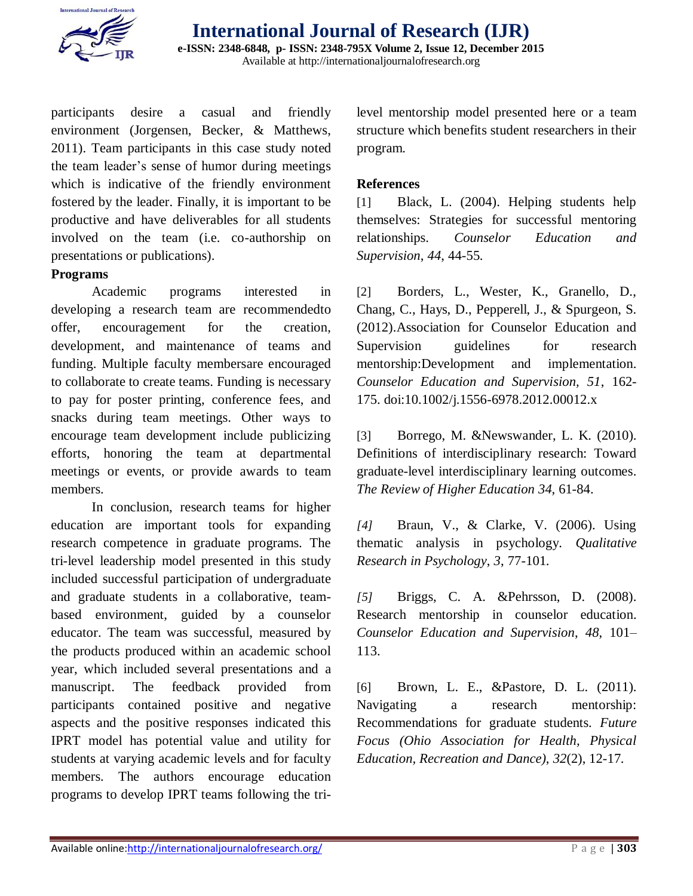

participants desire a casual and friendly environment (Jorgensen, Becker, & Matthews, 2011). Team participants in this case study noted the team leader's sense of humor during meetings which is indicative of the friendly environment fostered by the leader. Finally, it is important to be productive and have deliverables for all students involved on the team (i.e. co-authorship on presentations or publications).

#### **Programs**

Academic programs interested in developing a research team are recommendedto offer, encouragement for the creation, development, and maintenance of teams and funding. Multiple faculty membersare encouraged to collaborate to create teams. Funding is necessary to pay for poster printing, conference fees, and snacks during team meetings. Other ways to encourage team development include publicizing efforts, honoring the team at departmental meetings or events, or provide awards to team members.

In conclusion, research teams for higher education are important tools for expanding research competence in graduate programs. The tri-level leadership model presented in this study included successful participation of undergraduate and graduate students in a collaborative, teambased environment, guided by a counselor educator. The team was successful, measured by the products produced within an academic school year, which included several presentations and a manuscript. The feedback provided from participants contained positive and negative aspects and the positive responses indicated this IPRT model has potential value and utility for students at varying academic levels and for faculty members. The authors encourage education programs to develop IPRT teams following the trilevel mentorship model presented here or a team structure which benefits student researchers in their program.

#### **References**

[1] Black, L. (2004). Helping students help themselves: Strategies for successful mentoring relationships. *Counselor Education and Supervision*, *44*, 44-55.

[2] Borders, L., Wester, K., Granello, D., Chang, C., Hays, D., Pepperell, J., & Spurgeon, S. (2012).Association for Counselor Education and Supervision guidelines for research mentorship:Development and implementation. *Counselor Education and Supervision, 51*, 162- 175. doi:10.1002/j.1556-6978.2012.00012.x

[3] Borrego, M. &Newswander, L. K. (2010). Definitions of interdisciplinary research: Toward graduate-level interdisciplinary learning outcomes. *The Review of Higher Education 34*, 61-84.

*[4]* Braun, V., & Clarke, V. (2006). Using thematic analysis in psychology. *Qualitative Research in Psychology*, *3*, 77-101.

*[5]* Briggs, C. A. &Pehrsson, D. (2008). Research mentorship in counselor education. *Counselor Education and Supervision*, *48*, 101– 113.

[6] Brown, L. E., &Pastore, D. L. (2011). Navigating a research mentorship: Recommendations for graduate students. *Future Focus (Ohio Association for Health, Physical Education, Recreation and Dance)*, *32*(2), 12-17.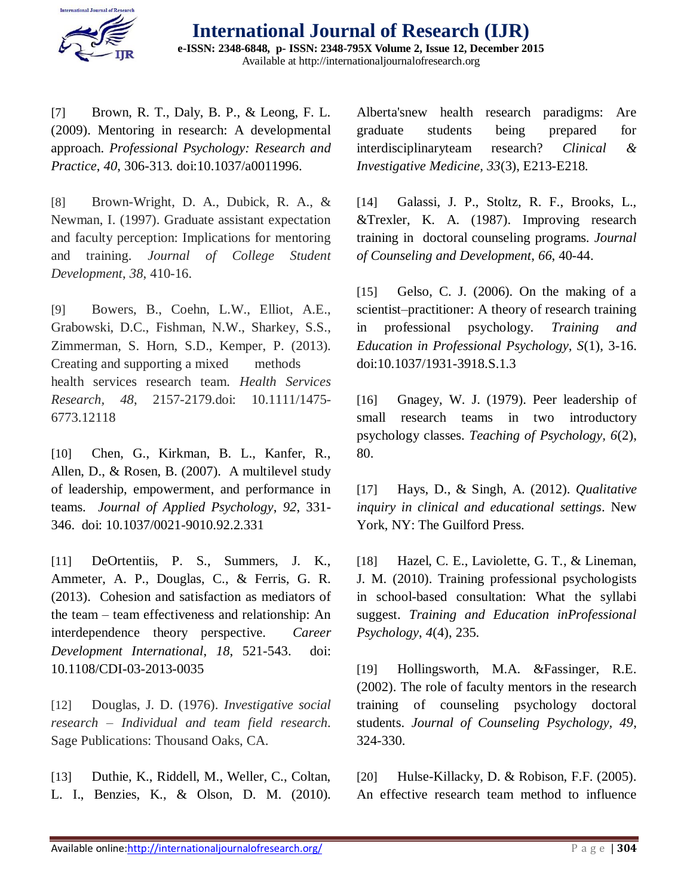

[7] Brown, R. T., Daly, B. P., & Leong, F. L. (2009). Mentoring in research: A developmental approach. *Professional Psychology: Research and Practice*, *40*, 306-313. doi:10.1037/a0011996.

[8] Brown-Wright, D. A., Dubick, R. A., & Newman, I. (1997). Graduate assistant expectation and faculty perception: Implications for mentoring and training. *Journal of College Student Development*, *38*, 410-16.

[9] Bowers, B., Coehn, L.W., Elliot, A.E., Grabowski, D.C., Fishman, N.W., Sharkey, S.S., Zimmerman, S. Horn, S.D., Kemper, P. (2013). Creating and supporting a mixed methods health services research team. *Health Services Research, 48*, 2157-2179.doi: 10.1111/1475- 6773.12118

[10] Chen, G., Kirkman, B. L., Kanfer, R., Allen, D., & Rosen, B. (2007). A multilevel study of leadership, empowerment, and performance in teams. *Journal of Applied Psychology*, *92*, 331- 346. doi: 10.1037/0021-9010.92.2.331

[11] DeOrtentiis, P. S., Summers, J. K., Ammeter, A. P., Douglas, C., & Ferris, G. R. (2013). Cohesion and satisfaction as mediators of the team – team effectiveness and relationship: An interdependence theory perspective. *Career Development International*, *18*, 521-543. doi: 10.1108/CDI-03-2013-0035

[12] Douglas, J. D. (1976). *Investigative social research – Individual and team field research.*  Sage Publications: Thousand Oaks, CA.

[13] Duthie, K., Riddell, M., Weller, C., Coltan, L. I., Benzies, K., & Olson, D. M. (2010). Alberta'snew health research paradigms: Are graduate students being prepared for interdisciplinaryteam research? *Clinical & Investigative Medicine, 33*(3), E213-E218.

[14] Galassi, J. P., Stoltz, R. F., Brooks, L., &Trexler, K. A. (1987). Improving research training in doctoral counseling programs. *Journal of Counseling and Development*, *66*, 40-44.

[15] Gelso, C. J. (2006). On the making of a scientist–practitioner: A theory of research training in professional psychology. *Training and Education in Professional Psychology, S*(1), 3-16. doi:10.1037/1931-3918.S.1.3

[16] Gnagey, W. J. (1979). Peer leadership of small research teams in two introductory psychology classes. *Teaching of Psychology, 6*(2), 80.

[17] Hays, D., & Singh, A. (2012). *Qualitative inquiry in clinical and educational settings*. New York, NY: The Guilford Press.

[18] Hazel, C. E., Laviolette, G. T., & Lineman, J. M. (2010). Training professional psychologists in school-based consultation: What the syllabi suggest. *Training and Education inProfessional Psychology*, *4*(4), 235.

[19] Hollingsworth, M.A. &Fassinger, R.E. (2002). The role of faculty mentors in the research training of counseling psychology doctoral students. *Journal of Counseling Psychology, 49*, 324-330.

[20] Hulse-Killacky, D. & Robison, F.F. (2005). An effective research team method to influence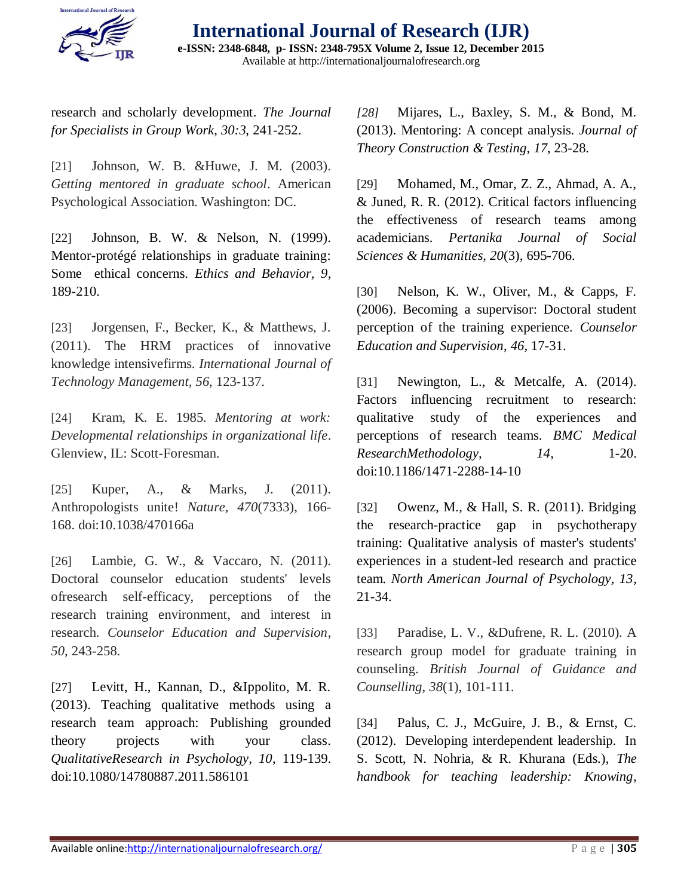

research and scholarly development. *The Journal for Specialists in Group Work*, *30:3*, 241-252.

[21] Johnson, W. B. &Huwe, J. M. (2003). *Getting mentored in graduate school*. American Psychological Association. Washington: DC.

[22] Johnson, B. W. & Nelson, N. (1999). Mentor-protégé relationships in graduate training: Some ethical concerns. *Ethics and Behavior, 9*, 189-210.

[23] Jorgensen, F., Becker, K., & Matthews, J. (2011). The HRM practices of innovative knowledge intensivefirms. *International Journal of Technology Management, 56*, 123-137.

[24] Kram, K. E. 1985. *Mentoring at work: Developmental relationships in organizational life*. Glenview, IL: Scott-Foresman.

[25] Kuper, A., & Marks, J. (2011). Anthropologists unite! *Nature, 470*(7333), 166- 168. doi:10.1038/470166a

[26] Lambie, G. W., & Vaccaro, N. (2011). Doctoral counselor education students' levels ofresearch self-efficacy, perceptions of the research training environment, and interest in research. *Counselor Education and Supervision*, *50*, 243-258.

[27] Levitt, H., Kannan, D., &Ippolito, M. R. (2013). Teaching qualitative methods using a research team approach: Publishing grounded theory projects with your class. *QualitativeResearch in Psychology, 10*, 119-139. doi:10.1080/14780887.2011.586101

*[28]* Mijares, L., Baxley, S. M., & Bond, M. (2013). Mentoring: A concept analysis. *Journal of Theory Construction & Testing*, *17*, 23-28.

[29] Mohamed, M., Omar, Z. Z., Ahmad, A. A., & Juned, R. R. (2012). Critical factors influencing the effectiveness of research teams among academicians. *Pertanika Journal of Social Sciences & Humanities, 20*(3), 695-706.

[30] Nelson, K. W., Oliver, M., & Capps, F. (2006). Becoming a supervisor: Doctoral student perception of the training experience. *Counselor Education and Supervision*, *46*, 17-31.

[31] Newington, L., & Metcalfe, A. (2014). Factors influencing recruitment to research: qualitative study of the experiences and perceptions of research teams. *BMC Medical ResearchMethodology,* 14, 1-20. doi:10.1186/1471-2288-14-10

[32] Owenz, M., & Hall, S. R. (2011). Bridging the research-practice gap in psychotherapy training: Qualitative analysis of master's students' experiences in a student-led research and practice team. *North American Journal of Psychology, 13*, 21-34.

[33] Paradise, L. V., &Dufrene, R. L. (2010). A research group model for graduate training in counseling. *British Journal of Guidance and Counselling*, *38*(1), 101-111.

[34] Palus, C. J., McGuire, J. B., & Ernst, C. (2012). Developing interdependent leadership. In S. Scott, N. Nohria, & R. Khurana (Eds.), *The handbook for teaching leadership: Knowing,*